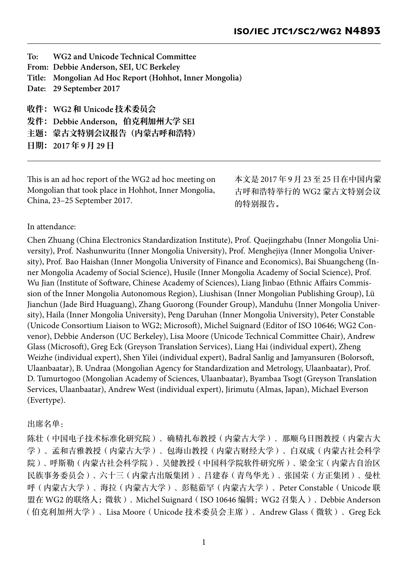**To: WG2 and Unicode Technical Committee From: Debbie Anderson, SEI, UC Berkeley Title: Mongolian Ad Hoc Report (Hohhot, Inner Mongolia) Date: 29 September 2017 收件:WG2 和 Unicode 技术委员会 发件:Debbie Anderson,伯克利加州⼤学 SEI** 主题: 蒙古文特别会议报告(内蒙古呼和浩特) **⽇期:2017 年 9 ⽉ 29 ⽇**

This is an ad hoc report of the WG2 ad hoc meeting on Mongolian that took place in Hohhot, Inner Mongolia, China, 23–25 September 2017.

本文是 2017 年 9 月 23 至 25 日在中国内蒙 古呼和浩特举行的 WG2 蒙古文特别会议 的特别报告。

In attendance:

Chen Zhuang (China Electronics Standardization Institute), Prof. Quejingzhabu (Inner Mongolia University), Prof. Nashunwuritu (Inner Mongolia University), Prof. Menghejiya (Inner Mongolia University), Prof. Bao Haishan (Inner Mongolia University of Finance and Economics), Bai Shuangcheng (Inner Mongolia Academy of Social Science), Husile (Inner Mongolia Academy of Social Science), Prof. Wu Jian (Institute of Software, Chinese Academy of Sciences), Liang Jinbao (Ethnic Affairs Commission of the Inner Mongolia Autonomous Region), Liushisan (Inner Mongolian Publishing Group), Lü Jianchun (Jade Bird Huaguang), Zhang Guorong (Founder Group), Manduhu (Inner Mongolia University), Haila (Inner Mongolia University), Peng Daruhan (Inner Mongolia University), Peter Constable (Unicode Consortium Liaison to WG2; Microsoft), Michel Suignard (Editor of ISO 10646; WG2 Convenor), Debbie Anderson (UC Berkeley), Lisa Moore (Unicode Technical Committee Chair), Andrew Glass (Microsoft), Greg Eck (Greyson Translation Services), Liang Hai (individual expert), Zheng Weizhe (individual expert), Shen Yilei (individual expert), Badral Sanlig and Jamyansuren (Bolorsoft, Ulaanbaatar), B. Undraa (Mongolian Agency for Standardization and Metrology, Ulaanbaatar), Prof. D. Tumurtogoo (Mongolian Academy of Sciences, Ulaanbaatar), Byambaa Tsogt (Greyson Translation Services, Ulaanbaatar), Andrew West (individual expert), Jirimutu (Almas, Japan), Michael Everson (Evertype).

## 出席名单:

陈壮(中国电子技术标准化研究院)、确精扎布教授(内蒙古大学)、那顺乌日图教授(内蒙古大 学)、孟和吉雅教授(内蒙古大学)、包海山教授(内蒙古财经大学)、白双成(内蒙古社会科学 院)、呼斯勒(内蒙古社会科学院)、吴健教授(中国科学院软件研究所)、梁金宝(内蒙古自治区 民族事务委员会)、六十三(内蒙古出版集团)、吕建春(青鸟华光)、张国荣(方正集团)、曼杜 呼(内蒙古大学)、海拉(内蒙古大学)、彭鞑茹罕(内蒙古大学)、Peter Constable(Unicode 联 盟在 WG2 的联络人; 微软)、Michel Suignard (ISO 10646 编辑; WG2 召集人)、Debbie Anderson (伯克利加州大学)、Lisa Moore(Unicode 技术委员会主席)、Andrew Glass(微软)、Greg Eck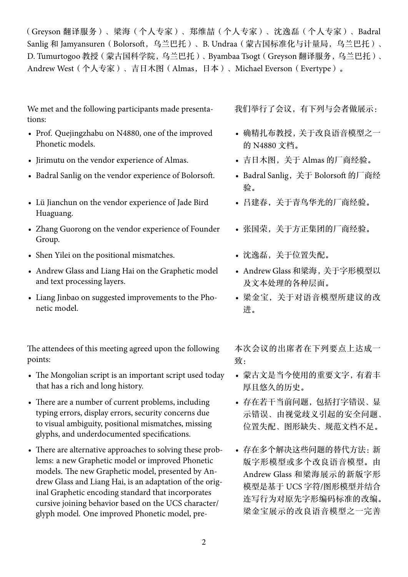(Greyson 翻译服务)、梁海(个人专家)、郑维喆(个人专家)、沈逸磊(个人专家)、Badral Sanlig 和 Jamyansuren(Bolorsoft,乌兰巴托)、B. Undraa(蒙古国标准化与计量局,乌兰巴托)、 D. Tumurtogoo 教授(蒙古国科学院,乌兰巴托)、Byambaa Tsogt(Greyson 翻译服务,乌兰巴托)、 Andrew West(个人专家)、吉日木图(Almas,日本)、Michael Everson(Evertype)。

We met and the following participants made presentations:

- Prof. Quejingzhabu on N4880, one of the improved Phonetic models.
- Jirimutu on the vendor experience of Almas.
- Badral Sanlig on the vendor experience of Bolorsoft.
- Lü Jianchun on the vendor experience of Jade Bird Huaguang.
- Zhang Guorong on the vendor experience of Founder Group.
- Shen Yilei on the positional mismatches.
- Andrew Glass and Liang Hai on the Graphetic model and text processing layers.
- Liang Jinbao on suggested improvements to the Phonetic model.

The attendees of this meeting agreed upon the following points:

- The Mongolian script is an important script used today that has a rich and long history.
- There are a number of current problems, including typing errors, display errors, security concerns due to visual ambiguity, positional mismatches, missing glyphs, and underdocumented specifications.
- There are alternative approaches to solving these problems: a new Graphetic model or improved Phonetic models. The new Graphetic model, presented by Andrew Glass and Liang Hai, is an adaptation of the original Graphetic encoding standard that incorporates cursive joining behavior based on the UCS character/ glyph model. One improved Phonetic model, pre-

我们举行了会议,有下列与会者做展示:

- 确精扎布教授,关于改良语音模型之一 的 N4880 文档。
- 吉日木图,关于 Almas 的厂商经验。
- Badral Sanlig,关于 Bolorsoft 的厂商经 验。
- 吕建春,关于青鸟华光的厂商经验。
- 张国荣,关于方正集团的厂商经验。
- 沈逸磊,关于位置失配。
- Andrew Glass 和梁海,关于字形模型以 及文本处理的各种层面。
- 梁金宝,关于对语音模型所建议的改 进。

本次会议的出席者在下列要点上达成一 致:

- 蒙古文是当今使用的重要文字,有着丰 厚且悠久的历史。
- 存在若干当前问题,包括打字错误、显 示错误、由视觉歧义引起的安全问题、 位置失配、图形缺失、规范文档不足。
- 存在多个解决这些问题的替代方法:新 版字形模型或多个改良语音模型。由 Andrew Glass 和梁海展示的新版字形 模型是基于 UCS 字符/图形模型并结合 连写行为对原先字形编码标准的改编。 梁金宝展示的改良语音模型之一完善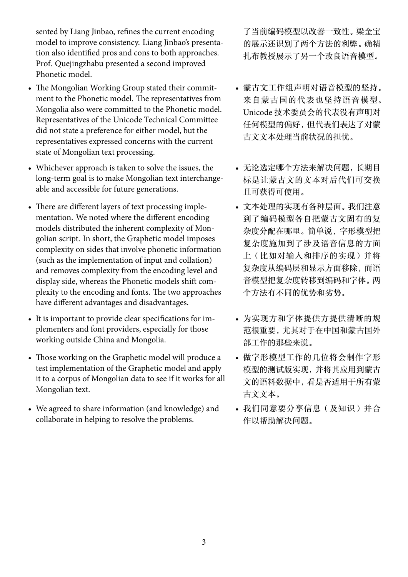sented by Liang Jinbao, refines the current encoding model to improve consistency. Liang Jinbao's presentation also identified pros and cons to both approaches. Prof. Quejingzhabu presented a second improved Phonetic model.

- The Mongolian Working Group stated their commitment to the Phonetic model. The representatives from Mongolia also were committed to the Phonetic model. Representatives of the Unicode Technical Committee did not state a preference for either model, but the representatives expressed concerns with the current state of Mongolian text processing.
- Whichever approach is taken to solve the issues, the long-term goal is to make Mongolian text interchangeable and accessible for future generations.
- There are different layers of text processing implementation. We noted where the different encoding models distributed the inherent complexity of Mongolian script. In short, the Graphetic model imposes complexity on sides that involve phonetic information (such as the implementation of input and collation) and removes complexity from the encoding level and display side, whereas the Phonetic models shift complexity to the encoding and fonts. The two approaches have different advantages and disadvantages.
- It is important to provide clear specifications for implementers and font providers, especially for those working outside China and Mongolia.
- Those working on the Graphetic model will produce a test implementation of the Graphetic model and apply it to a corpus of Mongolian data to see if it works for all Mongolian text.
- We agreed to share information (and knowledge) and collaborate in helping to resolve the problems.

了当前编码模型以改善一致性。梁金宝 的展示还识别了两个方法的利弊。确精 扎布教授展示了另一个改良语音模型。

- 蒙古文工作组声明对语音模型的坚持。 来自蒙古国的代表也坚持语音模型。 Unicode 技术委员会的代表没有声明对 任何模型的偏好,但代表们表达了对蒙 古文文本处理当前状况的担忧。
- 无论选定哪个方法来解决问题,长期目 标是让蒙古文的文本对后代们可交换 且可获得可使用。
- 文本处理的实现有各种层面。我们注意 到了编码模型各自把蒙古文固有的复 杂度分配在哪里。简单说,字形模型把 复杂度施加到了涉及语音信息的方面 上(比如对输入和排序的实现)并将 复杂度从编码层和显示方面移除,而语 音模型把复杂度转移到编码和字体。两 个方法有不同的优势和劣势。
- 为实现方和字体提供方提供清晰的规 范很重要,尤其对于在中国和蒙古国外 部工作的那些来说。
- 做字形模型工作的几位将会制作字形 模型的测试版实现,并将其应用到蒙古 文的语料数据中,看是否适用于所有蒙 古文文本。
- 我们同意要分享信息(及知识)并合 作以帮助解决问题。